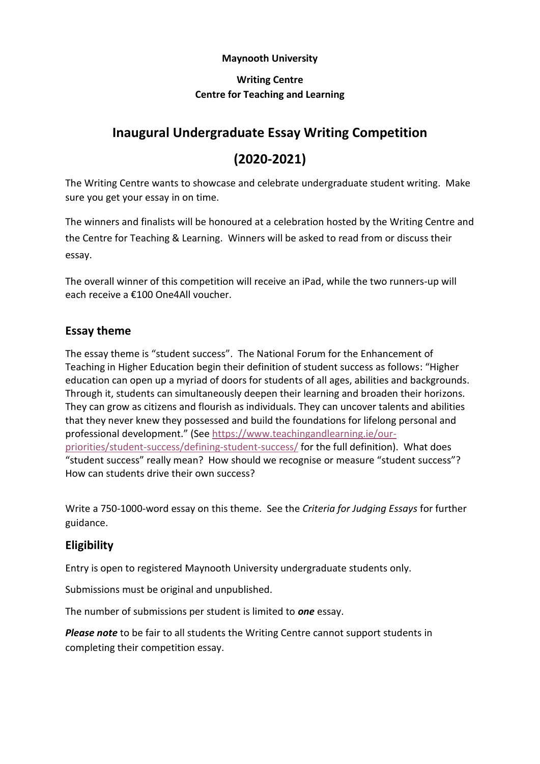#### **Maynooth University**

# **Writing Centre Centre for Teaching and Learning**

# **Inaugural Undergraduate Essay Writing Competition**

# **(2020-2021)**

The Writing Centre wants to showcase and celebrate undergraduate student writing. Make sure you get your essay in on time.

The winners and finalists will be honoured at a celebration hosted by the Writing Centre and the Centre for Teaching & Learning. Winners will be asked to read from or discuss their essay.

The overall winner of this competition will receive an iPad, while the two runners-up will each receive a €100 One4All voucher.

# **Essay theme**

The essay theme is "student success". The National Forum for the Enhancement of Teaching in Higher Education begin their definition of student success as follows: "Higher education can open up a myriad of doors for students of all ages, abilities and backgrounds. Through it, students can simultaneously deepen their learning and broaden their horizons. They can grow as citizens and flourish as individuals. They can uncover talents and abilities that they never knew they possessed and build the foundations for lifelong personal and professional development." (See [https://www.teachingandlearning.ie/our](https://www.teachingandlearning.ie/our-priorities/student-success/defining-student-success/)[priorities/student-success/defining-student-success/](https://www.teachingandlearning.ie/our-priorities/student-success/defining-student-success/) for the full definition). What does "student success" really mean? How should we recognise or measure "student success"? How can students drive their own success?

Write a 750-1000-word essay on this theme. See the *Criteria for Judging Essays* for further guidance.

# **Eligibility**

Entry is open to registered Maynooth University undergraduate students only.

Submissions must be original and unpublished.

The number of submissions per student is limited to *one* essay.

*Please note* to be fair to all students the Writing Centre cannot support students in completing their competition essay.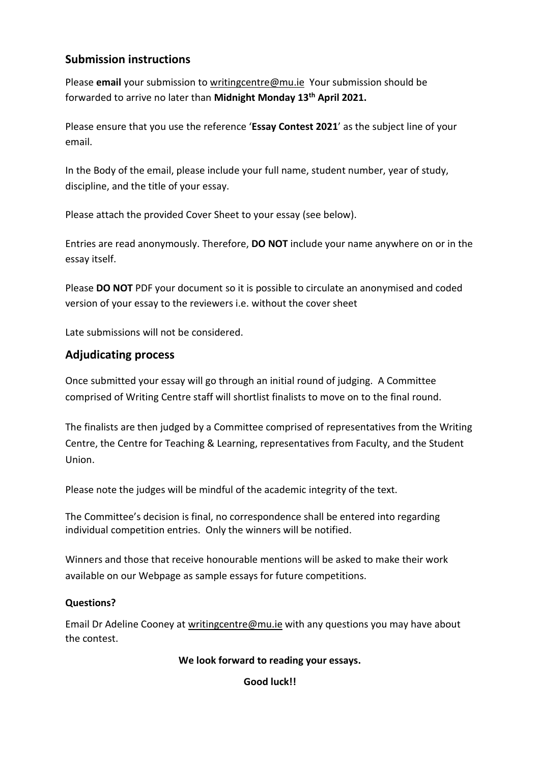# **Submission instructions**

Please **email** your submission to [writingcentre@mu.ie](mailto:writingcentre@mu.ie) Your submission should be forwarded to arrive no later than **Midnight Monday 13th April 2021.**

Please ensure that you use the reference '**Essay Contest 2021**' as the subject line of your email.

In the Body of the email, please include your full name, student number, year of study, discipline, and the title of your essay.

Please attach the provided Cover Sheet to your essay (see below).

Entries are read anonymously. Therefore, **DO NOT** include your name anywhere on or in the essay itself.

Please **DO NOT** PDF your document so it is possible to circulate an anonymised and coded version of your essay to the reviewers i.e. without the cover sheet

Late submissions will not be considered.

# **Adjudicating process**

Once submitted your essay will go through an initial round of judging. A Committee comprised of Writing Centre staff will shortlist finalists to move on to the final round.

The finalists are then judged by a Committee comprised of representatives from the Writing Centre, the Centre for Teaching & Learning, representatives from Faculty, and the Student Union.

Please note the judges will be mindful of the academic integrity of the text.

The Committee's decision is final, no correspondence shall be entered into regarding individual competition entries. Only the winners will be notified.

Winners and those that receive honourable mentions will be asked to make their work available on our Webpage as sample essays for future competitions.

# **Questions?**

Email Dr Adeline Cooney at [writingcentre@mu.ie](mailto:writingcentre@mu.ie) with any questions you may have about the contest.

#### **We look forward to reading your essays.**

**Good luck!!**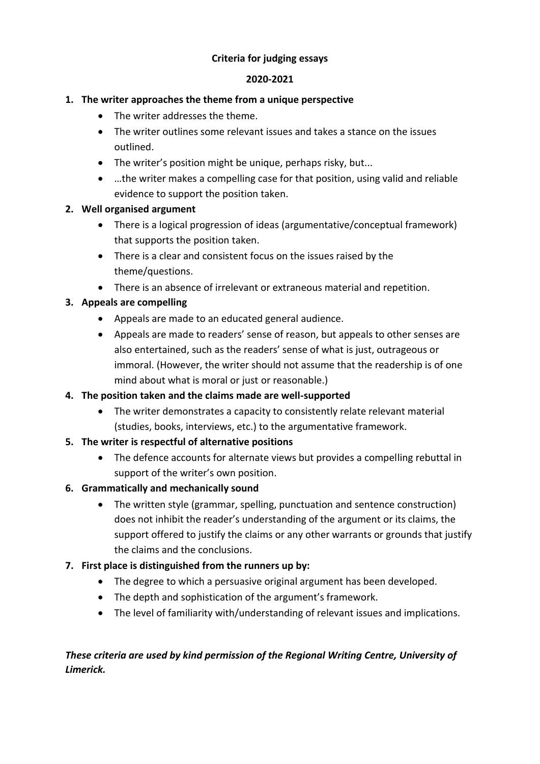### **Criteria for judging essays**

#### **2020-2021**

#### **1. The writer approaches the theme from a unique perspective**

- The writer addresses the theme.
- The writer outlines some relevant issues and takes a stance on the issues outlined.
- The writer's position might be unique, perhaps risky, but...
- …the writer makes a compelling case for that position, using valid and reliable evidence to support the position taken.

#### **2. Well organised argument**

- There is a logical progression of ideas (argumentative/conceptual framework) that supports the position taken.
- There is a clear and consistent focus on the issues raised by the theme/questions.
- There is an absence of irrelevant or extraneous material and repetition.

# **3. Appeals are compelling**

- Appeals are made to an educated general audience.
- Appeals are made to readers' sense of reason, but appeals to other senses are also entertained, such as the readers' sense of what is just, outrageous or immoral. (However, the writer should not assume that the readership is of one mind about what is moral or just or reasonable.)

#### **4. The position taken and the claims made are well-supported**

• The writer demonstrates a capacity to consistently relate relevant material (studies, books, interviews, etc.) to the argumentative framework.

#### **5. The writer is respectful of alternative positions**

• The defence accounts for alternate views but provides a compelling rebuttal in support of the writer's own position.

#### **6. Grammatically and mechanically sound**

• The written style (grammar, spelling, punctuation and sentence construction) does not inhibit the reader's understanding of the argument or its claims, the support offered to justify the claims or any other warrants or grounds that justify the claims and the conclusions.

# **7. First place is distinguished from the runners up by:**

- The degree to which a persuasive original argument has been developed.
- The depth and sophistication of the argument's framework.
- The level of familiarity with/understanding of relevant issues and implications.

# *These criteria are used by kind permission of the Regional Writing Centre, University of Limerick.*